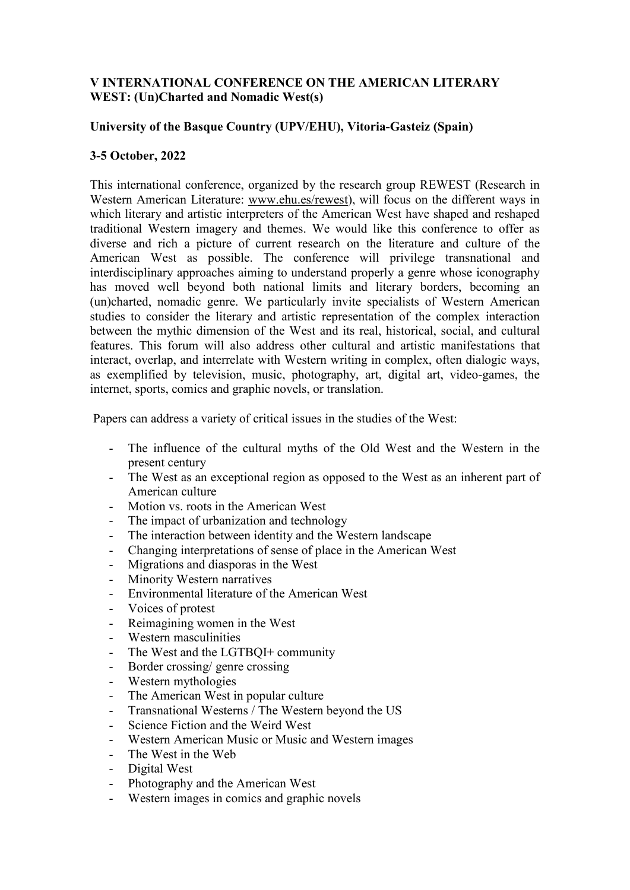## **V INTERNATIONAL CONFERENCE ON THE AMERICAN LITERARY WEST: (Un)Charted and Nomadic West(s)**

## **University of the Basque Country (UPV/EHU), Vitoria-Gasteiz (Spain)**

## **3-5 October, 2022**

This international conference, organized by the research group REWEST (Research in Western American Literature: [www.ehu.es/rewest\)](http://www.ehu.es/rewest), will focus on the different ways in which literary and artistic interpreters of the American West have shaped and reshaped traditional Western imagery and themes. We would like this conference to offer as diverse and rich a picture of current research on the literature and culture of the American West as possible. The conference will privilege transnational and interdisciplinary approaches aiming to understand properly a genre whose iconography has moved well beyond both national limits and literary borders, becoming an (un)charted, nomadic genre. We particularly invite specialists of Western American studies to consider the literary and artistic representation of the complex interaction between the mythic dimension of the West and its real, historical, social, and cultural features. This forum will also address other cultural and artistic manifestations that interact, overlap, and interrelate with Western writing in complex, often dialogic ways, as exemplified by television, music, photography, art, digital art, video-games, the internet, sports, comics and graphic novels, or translation.

Papers can address a variety of critical issues in the studies of the West:

- The influence of the cultural myths of the Old West and the Western in the present century
- The West as an exceptional region as opposed to the West as an inherent part of American culture
- Motion vs. roots in the American West
- The impact of urbanization and technology
- The interaction between identity and the Western landscape
- Changing interpretations of sense of place in the American West
- Migrations and diasporas in the West
- Minority Western narratives
- Environmental literature of the American West
- Voices of protest
- Reimagining women in the West
- Western masculinities
- The West and the LGTBQI+ community
- Border crossing/ genre crossing
- Western mythologies
- The American West in popular culture
- Transnational Westerns / The Western beyond the US
- Science Fiction and the Weird West
- Western American Music or Music and Western images
- The West in the Web
- Digital West
- Photography and the American West
- Western images in comics and graphic novels